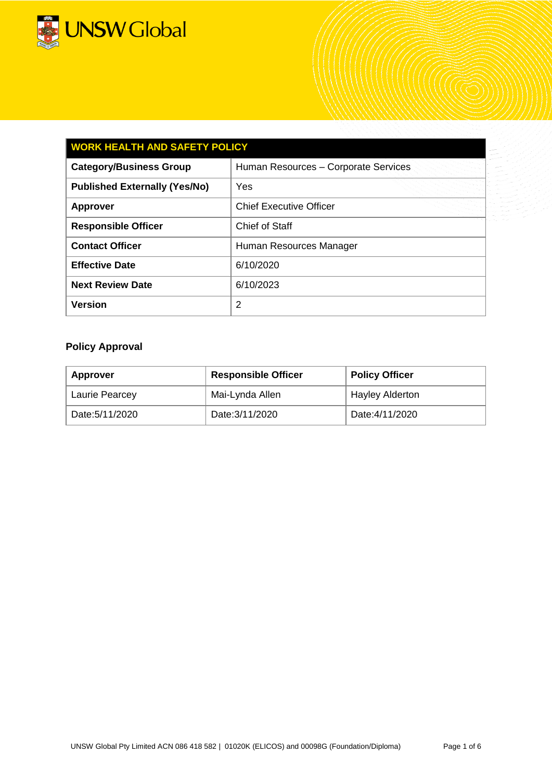

| <b>WORK HEALTH AND SAFETY POLICY</b> |                                      |  |  |
|--------------------------------------|--------------------------------------|--|--|
| <b>Category/Business Group</b>       | Human Resources - Corporate Services |  |  |
| <b>Published Externally (Yes/No)</b> | Yes                                  |  |  |
| <b>Approver</b>                      | <b>Chief Executive Officer</b>       |  |  |
| <b>Responsible Officer</b>           | Chief of Staff                       |  |  |
| <b>Contact Officer</b>               | Human Resources Manager              |  |  |
| <b>Effective Date</b>                | 6/10/2020                            |  |  |
| <b>Next Review Date</b>              | 6/10/2023                            |  |  |
| <b>Version</b>                       | 2                                    |  |  |

# **Policy Approval**

| <b>Approver</b>                   | <b>Responsible Officer</b> | <b>Policy Officer</b>  |
|-----------------------------------|----------------------------|------------------------|
| Mai-Lynda Allen<br>Laurie Pearcey |                            | <b>Hayley Alderton</b> |
| Date:5/11/2020                    | Date: 3/11/2020            | Date:4/11/2020         |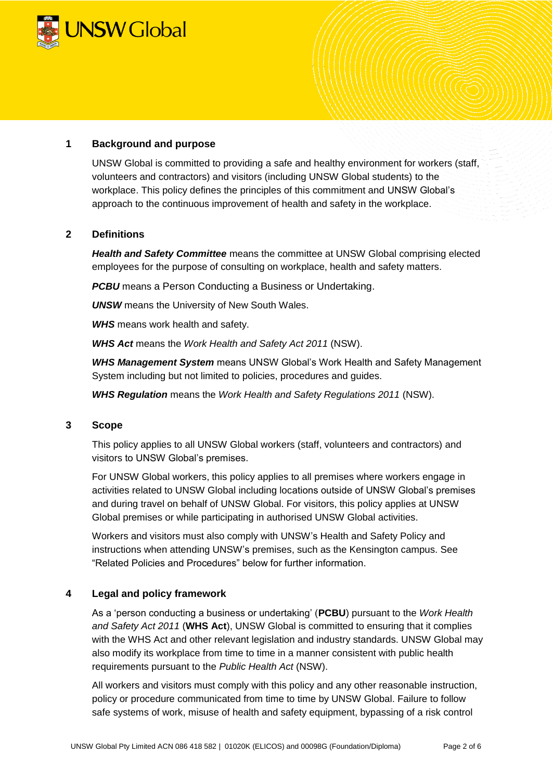

## **1 Background and purpose**

UNSW Global is committed to providing a safe and healthy environment for workers (staff, volunteers and contractors) and visitors (including UNSW Global students) to the workplace. This policy defines the principles of this commitment and UNSW Global's approach to the continuous improvement of health and safety in the workplace.

### **2 Definitions**

*Health and Safety Committee* means the committee at UNSW Global comprising elected employees for the purpose of consulting on workplace, health and safety matters.

*PCBU* means a Person Conducting a Business or Undertaking.

*UNSW* means the University of New South Wales.

*WHS* means work health and safety.

*WHS Act* means the *Work Health and Safety Act 2011* (NSW).

*WHS Management System* means UNSW Global's Work Health and Safety Management System including but not limited to policies, procedures and guides.

*WHS Regulation* means the *Work Health and Safety Regulations 2011* (NSW).

### **3 Scope**

This policy applies to all UNSW Global workers (staff, volunteers and contractors) and visitors to UNSW Global's premises.

For UNSW Global workers, this policy applies to all premises where workers engage in activities related to UNSW Global including locations outside of UNSW Global's premises and during travel on behalf of UNSW Global. For visitors, this policy applies at UNSW Global premises or while participating in authorised UNSW Global activities.

Workers and visitors must also comply with UNSW's Health and Safety Policy and instructions when attending UNSW's premises, such as the Kensington campus. See "Related Policies and Procedures" below for further information.

## **4 Legal and policy framework**

As a 'person conducting a business or undertaking' (**PCBU**) pursuant to the *Work Health and Safety Act 2011* (**WHS Act**), UNSW Global is committed to ensuring that it complies with the WHS Act and other relevant legislation and industry standards. UNSW Global may also modify its workplace from time to time in a manner consistent with public health requirements pursuant to the *Public Health Act* (NSW).

All workers and visitors must comply with this policy and any other reasonable instruction, policy or procedure communicated from time to time by UNSW Global. Failure to follow safe systems of work, misuse of health and safety equipment, bypassing of a risk control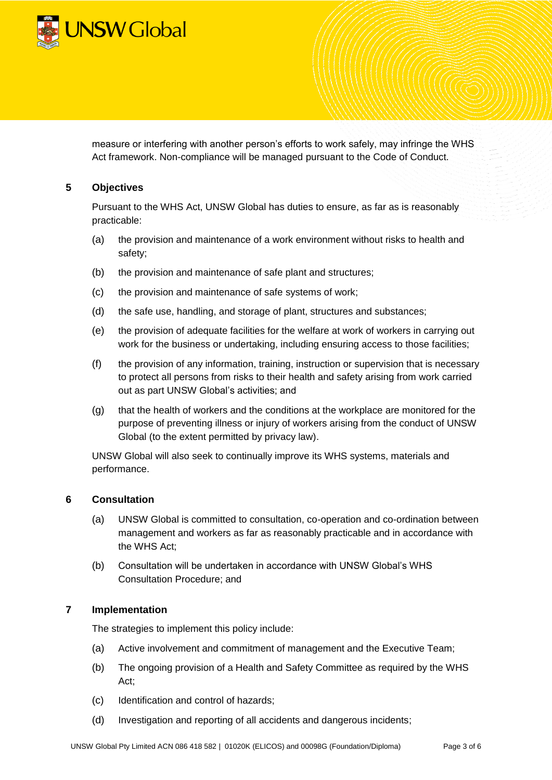

measure or interfering with another person's efforts to work safely, may infringe the WHS Act framework. Non-compliance will be managed pursuant to the Code of Conduct.

## **5 Objectives**

Pursuant to the WHS Act, UNSW Global has duties to ensure, as far as is reasonably practicable:

- (a) the provision and maintenance of a work environment without risks to health and safety;
- (b) the provision and maintenance of safe plant and structures;
- (c) the provision and maintenance of safe systems of work;
- (d) the safe use, handling, and storage of plant, structures and substances;
- (e) the provision of adequate facilities for the welfare at work of workers in carrying out work for the business or undertaking, including ensuring access to those facilities;
- (f) the provision of any information, training, instruction or supervision that is necessary to protect all persons from risks to their health and safety arising from work carried out as part UNSW Global's activities; and
- (g) that the health of workers and the conditions at the workplace are monitored for the purpose of preventing illness or injury of workers arising from the conduct of UNSW Global (to the extent permitted by privacy law).

UNSW Global will also seek to continually improve its WHS systems, materials and performance.

### **6 Consultation**

- (a) UNSW Global is committed to consultation, co-operation and co-ordination between management and workers as far as reasonably practicable and in accordance with the WHS Act;
- (b) Consultation will be undertaken in accordance with UNSW Global's WHS Consultation Procedure; and

### **7 Implementation**

The strategies to implement this policy include:

- (a) Active involvement and commitment of management and the Executive Team;
- (b) The ongoing provision of a Health and Safety Committee as required by the WHS Act;
- (c) Identification and control of hazards;
- (d) Investigation and reporting of all accidents and dangerous incidents;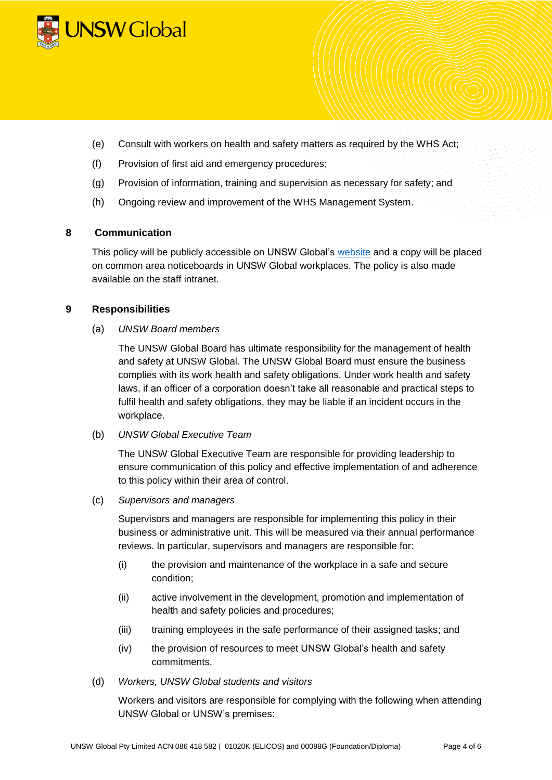

- (e) Consult with workers on health and safety matters as required by the WHS Act;
- (f) Provision of first aid and emergency procedures;
- (g) Provision of information, training and supervision as necessary for safety; and
- (h) Ongoing review and improvement of the WHS Management System.

### **8 Communication**

This policy will be publicly accessible on UNSW Global's [website](https://www.unswglobal.unsw.edu.au/our-company/policies/) and a copy will be placed on common area noticeboards in UNSW Global workplaces. The policy is also made available on the staff intranet.

### **9 Responsibilities**

(a) *UNSW Board members* 

The UNSW Global Board has ultimate responsibility for the management of health and safety at UNSW Global. The UNSW Global Board must ensure the business complies with its work health and safety obligations. Under work health and safety laws, if an officer of a corporation doesn't take all reasonable and practical steps to fulfil health and safety obligations, they may be liable if an incident occurs in the workplace.

(b) *UNSW Global Executive Team*

The UNSW Global Executive Team are responsible for providing leadership to ensure communication of this policy and effective implementation of and adherence to this policy within their area of control.

(c) *Supervisors and managers*

Supervisors and managers are responsible for implementing this policy in their business or administrative unit. This will be measured via their annual performance reviews. In particular, supervisors and managers are responsible for:

- (i) the provision and maintenance of the workplace in a safe and secure condition;
- (ii) active involvement in the development, promotion and implementation of health and safety policies and procedures;
- (iii) training employees in the safe performance of their assigned tasks; and
- (iv) the provision of resources to meet UNSW Global's health and safety commitments.
- (d) *Workers, UNSW Global students and visitors*

Workers and visitors are responsible for complying with the following when attending UNSW Global or UNSW's premises: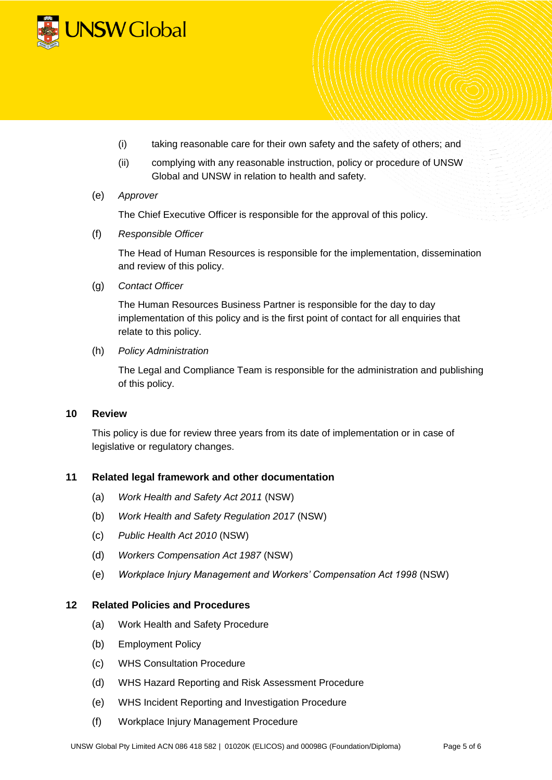

- (i) taking reasonable care for their own safety and the safety of others; and
- (ii) complying with any reasonable instruction, policy or procedure of UNSW Global and UNSW in relation to health and safety.

#### (e) *Approver*

The Chief Executive Officer is responsible for the approval of this policy.

(f) *Responsible Officer*

The Head of Human Resources is responsible for the implementation, dissemination and review of this policy.

(g) *Contact Officer*

The Human Resources Business Partner is responsible for the day to day implementation of this policy and is the first point of contact for all enquiries that relate to this policy.

(h) *Policy Administration* 

The Legal and Compliance Team is responsible for the administration and publishing of this policy.

### **10 Review**

This policy is due for review three years from its date of implementation or in case of legislative or regulatory changes.

### **11 Related legal framework and other documentation**

- (a) *Work Health and Safety Act 2011* (NSW)
- (b) *Work Health and Safety Regulation 2017* (NSW)
- (c) *Public Health Act 2010* (NSW)
- (d) *Workers Compensation Act 1987* (NSW)
- (e) *Workplace Injury Management and Workers' Compensation Act 1998* (NSW)

## **12 Related Policies and Procedures**

- (a) Work Health and Safety Procedure
- (b) Employment Policy
- (c) WHS Consultation Procedure
- (d) WHS Hazard Reporting and Risk Assessment Procedure
- (e) WHS Incident Reporting and Investigation Procedure
- (f) Workplace Injury Management Procedure